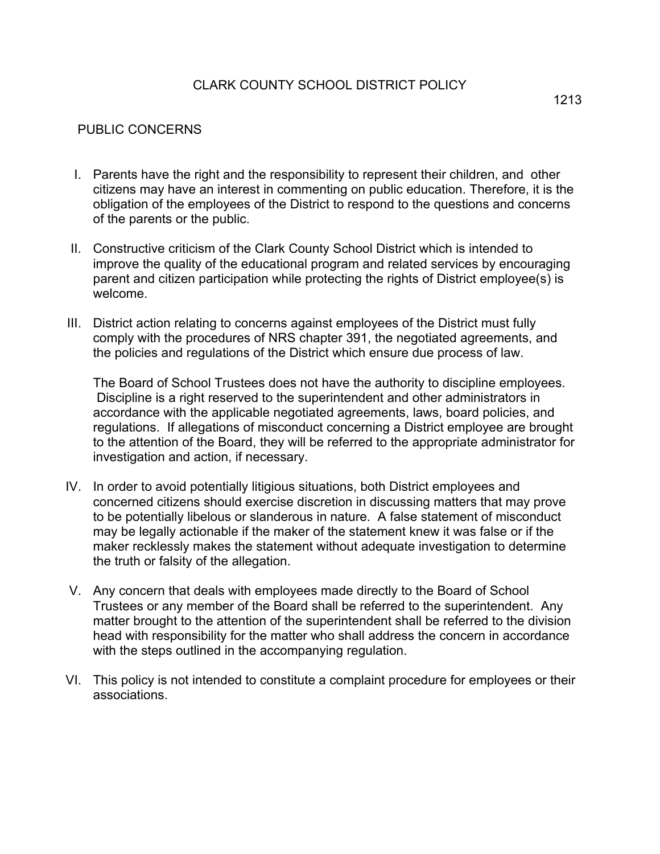## CLARK COUNTY SCHOOL DISTRICT POLICY

## PUBLIC CONCERNS

- I. Parents have the right and the responsibility to represent their children, and other citizens may have an interest in commenting on public education. Therefore, it is the obligation of the employees of the District to respond to the questions and concerns of the parents or the public.
- II. Constructive criticism of the Clark County School District which is intended to improve the quality of the educational program and related services by encouraging parent and citizen participation while protecting the rights of District employee(s) is welcome.
- III. District action relating to concerns against employees of the District must fully comply with the procedures of NRS chapter 391, the negotiated agreements, and the policies and regulations of the District which ensure due process of law.

The Board of School Trustees does not have the authority to discipline employees. Discipline is a right reserved to the superintendent and other administrators in accordance with the applicable negotiated agreements, laws, board policies, and regulations. If allegations of misconduct concerning a District employee are brought to the attention of the Board, they will be referred to the appropriate administrator for investigation and action, if necessary.

- IV. In order to avoid potentially litigious situations, both District employees and concerned citizens should exercise discretion in discussing matters that may prove to be potentially libelous or slanderous in nature. A false statement of misconduct may be legally actionable if the maker of the statement knew it was false or if the maker recklessly makes the statement without adequate investigation to determine the truth or falsity of the allegation.
- V. Any concern that deals with employees made directly to the Board of School Trustees or any member of the Board shall be referred to the superintendent. Any matter brought to the attention of the superintendent shall be referred to the division head with responsibility for the matter who shall address the concern in accordance with the steps outlined in the accompanying regulation.
- VI. This policy is not intended to constitute a complaint procedure for employees or their associations.